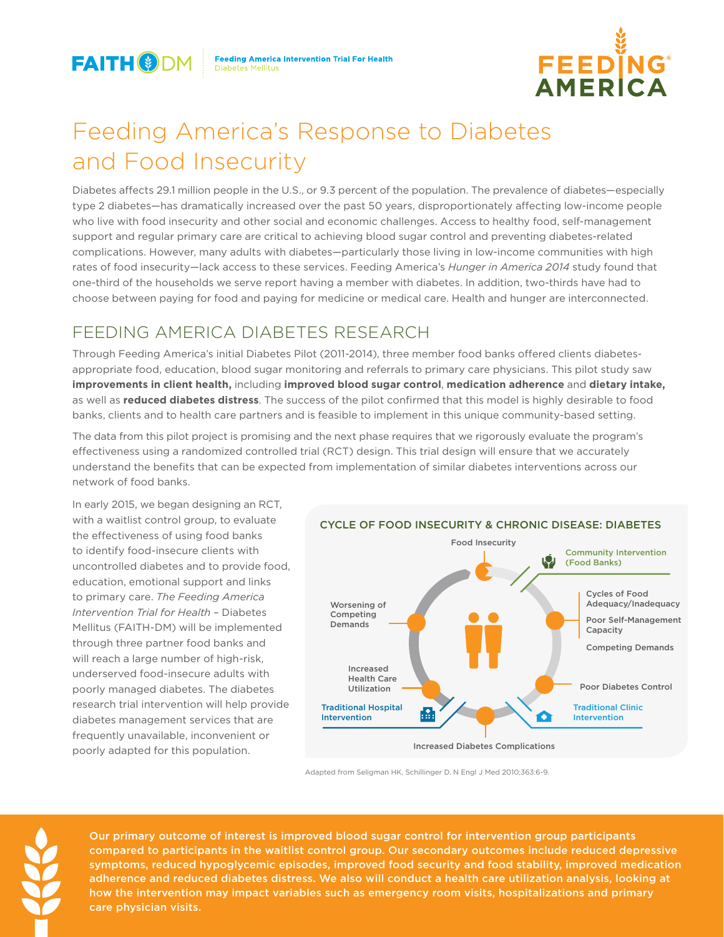

**Feeding America Intervention Trial For Health Diabetes Mellitus** 



# Feeding America's Response to Diabetes and Food Insecurity

Diabetes affects 29.1 million people in the U.S., or 9.3 percent of the population. The prevalence of diabetes—especially type 2 diabetes—has dramatically increased over the past 50 years, disproportionately affecting low-income people who live with food insecurity and other social and economic challenges. Access to healthy food, self-management support and regular primary care are critical to achieving blood sugar control and preventing diabetes-related complications. However, many adults with diabetes—particularly those living in low-income communities with high rates of food insecurity—lack access to these services. Feeding America's *Hunger in America 2014* study found that one-third of the households we serve report having a member with diabetes. In addition, two-thirds have had to choose between paying for food and paying for medicine or medical care. Health and hunger are interconnected.

# FEEDING AMERICA DIABETES RESEARCH

Through Feeding America's initial Diabetes Pilot (2011-2014), three member food banks offered clients diabetesappropriate food, education, blood sugar monitoring and referrals to primary care physicians. This pilot study saw **improvements in client health,** including **improved blood sugar control**, **medication adherence** and **dietary intake,** as well as **reduced diabetes distress**. The success of the pilot confirmed that this model is highly desirable to food banks, clients and to health care partners and is feasible to implement in this unique community-based setting.

The data from this pilot project is promising and the next phase requires that we rigorously evaluate the program's effectiveness using a randomized controlled trial (RCT) design. This trial design will ensure that we accurately understand the benefits that can be expected from implementation of similar diabetes interventions across our network of food banks.

In early 2015, we began designing an RCT, with a waitlist control group, to evaluate the effectiveness of using food banks to identify food-insecure clients with uncontrolled diabetes and to provide food, education, emotional support and links to primary care. *The Feeding America Intervention Trial for Health* – Diabetes Mellitus (FAITH-DM) will be implemented through three partner food banks and will reach a large number of high-risk, underserved food-insecure adults with poorly managed diabetes. The diabetes research trial intervention will help provide diabetes management services that are frequently unavailable, inconvenient or poorly adapted for this population.



### CYCLE OF FOOD INSECURITY & CHRONIC DISEASE: DIABETES

Adapted from Seligman HK, Schillinger D. N Engl J Med 2010;363:6-9.

Our primary outcome of interest is improved blood sugar control for intervention group participants compared to participants in the waitlist control group. Our secondary outcomes include reduced depressive symptoms, reduced hypoglycemic episodes, improved food security and food stability, improved medication adherence and reduced diabetes distress. We also will conduct a health care utilization analysis, looking at how the intervention may impact variables such as emergency room visits, hospitalizations and primary care physician visits.